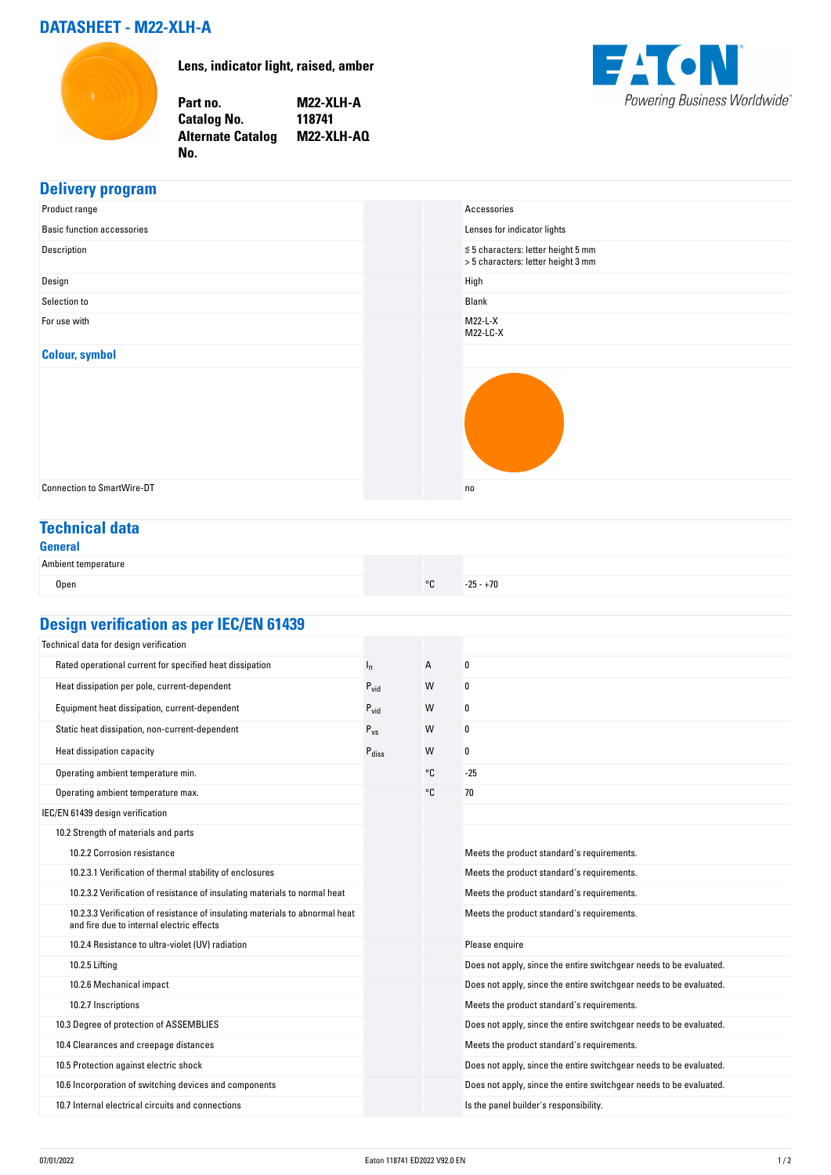## **DATASHEET - M22-XLH-A**



**Lens, indicator light, raised, amber**

**Part no. M22-XLH-A Catalog No. 118741 Alternate Catalog M22-XLH-AQ No.** 



# **Delivery program**<br>**Product range**

| Product range                     | Accessories                                                                   |
|-----------------------------------|-------------------------------------------------------------------------------|
| <b>Basic function accessories</b> | Lenses for indicator lights                                                   |
| Description                       | $\leq$ 5 characters: letter height 5 mm<br>> 5 characters: letter height 3 mm |
| Design                            | High                                                                          |
| Selection to                      | Blank                                                                         |
| For use with                      | M22-L-X<br>M22-LC-X                                                           |
| <b>Colour, symbol</b>             |                                                                               |
|                                   |                                                                               |
| <b>Connection to SmartWire-DT</b> | no                                                                            |
|                                   |                                                                               |

#### **Technical data General**

#### Ambient temperature

| Allibielit telliperature |         |             |  |
|--------------------------|---------|-------------|--|
| Open                     | $\circ$ | $-25 - +70$ |  |

## **Design verification as per IEC/EN 61439**

| Technical data for design verification                                                                                    |                   |    |                                                                    |
|---------------------------------------------------------------------------------------------------------------------------|-------------------|----|--------------------------------------------------------------------|
| Rated operational current for specified heat dissipation                                                                  | $I_{n}$           | А  | 0                                                                  |
| Heat dissipation per pole, current-dependent                                                                              | $P_{vid}$         | W  | 0                                                                  |
| Equipment heat dissipation, current-dependent                                                                             | $P_{\text{vid}}$  | W  | 0                                                                  |
| Static heat dissipation, non-current-dependent                                                                            | $P_{VS}$          | W  | 0                                                                  |
| Heat dissipation capacity                                                                                                 | $P_{\text{diss}}$ | W  | 0                                                                  |
| Operating ambient temperature min.                                                                                        |                   | °€ | $-25$                                                              |
| Operating ambient temperature max.                                                                                        |                   | °C | 70                                                                 |
| IEC/EN 61439 design verification                                                                                          |                   |    |                                                                    |
| 10.2 Strength of materials and parts                                                                                      |                   |    |                                                                    |
| 10.2.2 Corrosion resistance                                                                                               |                   |    | Meets the product standard's requirements.                         |
| 10.2.3.1 Verification of thermal stability of enclosures                                                                  |                   |    | Meets the product standard's requirements.                         |
| 10.2.3.2 Verification of resistance of insulating materials to normal heat                                                |                   |    | Meets the product standard's requirements.                         |
| 10.2.3.3 Verification of resistance of insulating materials to abnormal heat<br>and fire due to internal electric effects |                   |    | Meets the product standard's requirements.                         |
| 10.2.4 Resistance to ultra-violet (UV) radiation                                                                          |                   |    | Please enquire                                                     |
| 10.2.5 Lifting                                                                                                            |                   |    | Does not apply, since the entire switchgear needs to be evaluated. |
| 10.2.6 Mechanical impact                                                                                                  |                   |    | Does not apply, since the entire switchgear needs to be evaluated. |
| 10.2.7 Inscriptions                                                                                                       |                   |    | Meets the product standard's requirements.                         |
| 10.3 Degree of protection of ASSEMBLIES                                                                                   |                   |    | Does not apply, since the entire switchgear needs to be evaluated. |
| 10.4 Clearances and creepage distances                                                                                    |                   |    | Meets the product standard's requirements.                         |
| 10.5 Protection against electric shock                                                                                    |                   |    | Does not apply, since the entire switchgear needs to be evaluated. |
| 10.6 Incorporation of switching devices and components                                                                    |                   |    | Does not apply, since the entire switchgear needs to be evaluated. |
| 10.7 Internal electrical circuits and connections                                                                         |                   |    | Is the panel builder's responsibility.                             |